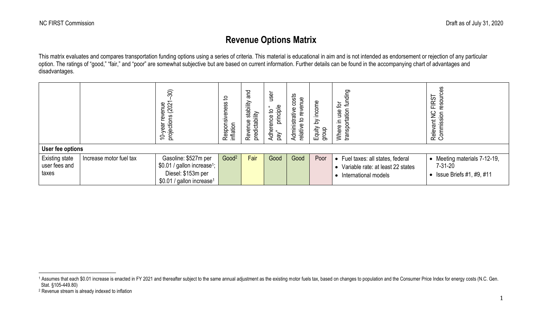## <span id="page-0-1"></span><span id="page-0-0"></span>**Revenue Options Matrix**

This matrix evaluates and compares transportation funding options using a series of criteria. This material is educational in aim and is not intended as endorsement or rejection of any particular option. The ratings of "good," "fair," and "poor" are somewhat subjective but are based on current information. Further details can be found in the accompanying chart of advantages and disadvantages.

| User fee options                                |                         | 30)<br>revenue<br>pns (2021<br>projections<br>10-year                                                                          | 요<br>Responsiveness t<br>inflation | and<br>stability<br>Revenue stat<br>predictability | user<br>principle<br>- 11<br>요<br>Adherence<br>pay" | osts<br>$\mathbf{B}$<br>5<br>c<br>Administrative<br>Φ<br>으<br>Φ<br>relativ | Equity by income<br>dnoib | funding<br>ځ<br>transportation<br>use<br>크.<br>Where                                                        | resourc<br><b>FIRST</b><br>$\geq$<br>Relevant NC<br>Commission                         |
|-------------------------------------------------|-------------------------|--------------------------------------------------------------------------------------------------------------------------------|------------------------------------|----------------------------------------------------|-----------------------------------------------------|----------------------------------------------------------------------------|---------------------------|-------------------------------------------------------------------------------------------------------------|----------------------------------------------------------------------------------------|
| <b>Existing state</b><br>user fees and<br>taxes | Increase motor fuel tax | Gasoline: \$527m per<br>\$0.01 / gallon increase <sup>1</sup> ;<br>Diesel: \$153m per<br>\$0.01 / gallon increase <sup>1</sup> | Good <sup>2</sup>                  | Fair                                               | Good                                                | Good                                                                       | Poor                      | Fuel taxes: all states, federal<br>$\bullet$<br>• Variable rate: at least 22 states<br>International models | • Meeting materials 7-12-19,<br>$7 - 31 - 20$<br>Issue Briefs #1, #9, #11<br>$\bullet$ |

<sup>&</sup>lt;sup>1</sup> Assumes that each \$0.01 increase is enacted in FY 2021 and thereafter subject to the same annual adjustment as the existing motor fuels tax, based on changes to population and the Consumer Price Index for energy costs Stat. §105-449.80)

<sup>2</sup> Revenue stream is already indexed to inflation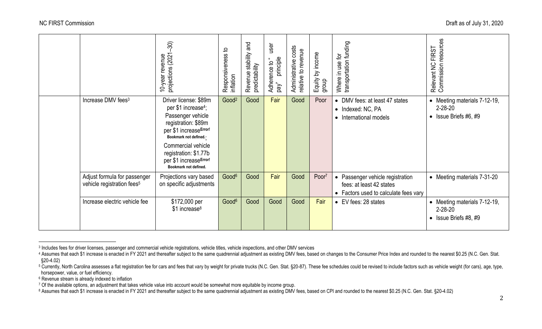|                                                                        | $\mathfrak{D}$<br>10-year revenue<br>projections (2021-                                                                                                                                                                                                   | Responsiveness to<br>inflation | pue<br>stability<br>predictability<br>Revenue | user<br>principle<br>Adherence to<br>pay | costs<br>relative to revenue<br>Administrative | Equity by income<br>dhon <sup>6</sup> | transportation funding<br>Where in use for                                                            | Commission resources<br><b>FIRST</b><br>Relevant NC                            |
|------------------------------------------------------------------------|-----------------------------------------------------------------------------------------------------------------------------------------------------------------------------------------------------------------------------------------------------------|--------------------------------|-----------------------------------------------|------------------------------------------|------------------------------------------------|---------------------------------------|-------------------------------------------------------------------------------------------------------|--------------------------------------------------------------------------------|
| Increase DMV fees <sup>3</sup>                                         | Driver license: \$89m<br>per \$1 increase <sup>4</sup> ;<br>Passenger vehicle<br>registration: \$89m<br>per \$1 increaseError!<br>Bookmark not defined.<br>Commercial vehicle<br>registration: \$1.77b<br>per \$1 increaseError!<br>Bookmark not defined. | Good <sup>2</sup>              | Good                                          | Fair                                     | Good                                           | Poor                                  | • DMV fees: at least 47 states<br>• Indexed: NC, PA<br>International models<br>$\bullet$              | • Meeting materials 7-12-19,<br>$2 - 28 - 20$<br>• Issue Briefs $#6, #9$       |
| Adjust formula for passenger<br>vehicle registration fees <sup>5</sup> | Projections vary based<br>on specific adjustments                                                                                                                                                                                                         | Good <sup>6</sup>              | Good                                          | Fair                                     | Good                                           | Poor <sup>7</sup>                     | • Passenger vehicle registration<br>fees: at least 42 states<br>• Factors used to calculate fees vary | • Meeting materials 7-31-20                                                    |
| Increase electric vehicle fee                                          | \$172,000 per<br>\$1 increase <sup>8</sup>                                                                                                                                                                                                                | Good <sup>6</sup>              | Good                                          | Good                                     | Good                                           | Fair                                  | • EV fees: 28 states                                                                                  | • Meeting materials 7-12-19,<br>$2 - 28 - 20$<br>$\bullet$ Issue Briefs #8, #9 |

<span id="page-1-0"></span><sup>&</sup>lt;sup>3</sup> Includes fees for driver licenses, passenger and commercial vehicle registrations, vehicle titles, vehicle inspections, and other DMV services

<sup>4</sup> Assumes that each \$1 increase is enacted in FY 2021 and thereafter subject to the same quadrennial adjustment as existing DMV fees, based on changes to the Consumer Price Index and rounded to the nearest \$0.25 (N.C. Gen. §20-4.02)

<sup>&</sup>lt;sup>5</sup> Currently, North Carolina assesses a flat registration fee for cars and fees that vary by weight for private trucks (N.C. Gen. Stat. §20-87). These fee schedules could be revised to include factors such as vehicle weig horsepower, value, or fuel efficiency.

<sup>6</sup> Revenue stream is already indexed to inflation

<sup>7</sup> Of the available options, an adjustment that takes vehicle value into account would be somewhat more equitable by income group.

<sup>8</sup> Assumes that each \$1 increase is enacted in FY 2021 and thereafter subject to the same quadrennial adjustment as existing DMV fees, based on CPI and rounded to the nearest \$0.25 (N.C. Gen. Stat. §20-4.02)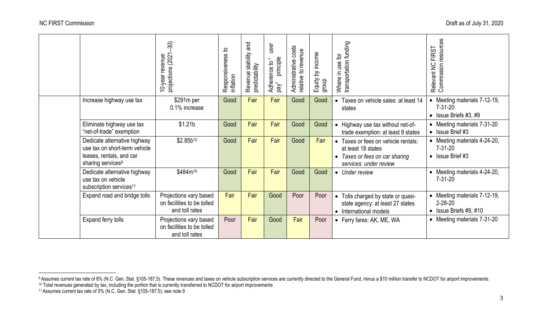| Draft as of July 31, 2020 |
|---------------------------|
|---------------------------|

<span id="page-2-0"></span>

|                                                                                                                            | $\mathfrak{D}$<br>projections (2021<br>10-year revenue                 | 악<br>Responsiveness t<br>inflation | and<br>stability<br>predictability<br>Revenue | user<br>principle<br>$\mathbf{u}$<br>Adherence to<br>red, | Administrative costs<br>to revenue<br>relative | Equity by income<br>group | transportation funding<br>Where in use for                                                                                     | Relevant NC FIRST<br>Commission resources                                      |
|----------------------------------------------------------------------------------------------------------------------------|------------------------------------------------------------------------|------------------------------------|-----------------------------------------------|-----------------------------------------------------------|------------------------------------------------|---------------------------|--------------------------------------------------------------------------------------------------------------------------------|--------------------------------------------------------------------------------|
| Increase highway use tax                                                                                                   | \$291m per<br>0.1% increase                                            | Good                               | Fair                                          | Fair                                                      | Good                                           | Good                      | Taxes on vehicle sales: at least 14<br>states                                                                                  | • Meeting materials 7-12-19,<br>$7 - 31 - 20$<br>$\bullet$ Issue Briefs #3, #9 |
| Eliminate highway use tax<br>"net-of-trade" exemption                                                                      | \$1.21 <sub>b</sub>                                                    | Good                               | Fair                                          | Fair                                                      | Good                                           | Good                      | • Highway use tax without net-of-<br>trade exemption: at least 8 states                                                        | • Meeting materials 7-31-20<br>$\bullet$ Issue Brief #3                        |
| Dedicate alternative highway<br>use tax on short-term vehicle<br>leases, rentals, and car<br>sharing services <sup>9</sup> | $$2.85b^{10}$                                                          | Good                               | Fair                                          | Fair                                                      | Good                                           | Fair                      | Taxes or fees on vehicle rentals:<br>$\bullet$<br>at least 18 states<br>Taxes or fees on car sharing<br>services: under review | • Meeting materials 4-24-20,<br>$7 - 31 - 20$<br>$\bullet$ Issue Brief #3      |
| Dedicate alternative highway<br>use tax on vehicle<br>subscription services <sup>11</sup>                                  | \$484m <sup>10</sup>                                                   | Good                               | Fair                                          | Fair                                                      | Good                                           | Good                      | • Under review                                                                                                                 | • Meeting materials 4-24-20,<br>$7 - 31 - 20$                                  |
| Expand road and bridge tolls                                                                                               | Projections vary based<br>on facilities to be tolled<br>and toll rates | Fair                               | Fair                                          | Good                                                      | Poor                                           | Poor                      | Tolls charged by state or quasi-<br>$\bullet$<br>state agency: at least 27 states<br>• International models                    | • Meeting materials 7-12-19,<br>$2 - 28 - 20$<br>• Issue Briefs $#9, #10$      |
| Expand ferry tolls                                                                                                         | Projections vary based<br>on facilities to be tolled<br>and toll rates | Poor                               | Fair                                          | Good                                                      | Fair                                           | Poor                      | • Ferry fares: AK, ME, WA                                                                                                      | • Meeting materials 7-31-20                                                    |

<sup>9</sup> Assumes current tax rate of 8% (N.C. Gen. Stat. §105-187.5). These revenues and taxes on vehicle subscription services are currently directed to the General Fund, minus a \$10 million transfer to NCDOT for airport improve

<sup>10</sup> Total revenues generated by tax, including the portion that is currently transferred to NCDOT for airport improvements

<sup>11</sup> Assumes current tax rate of 5% (N.C. Gen. Stat. §105-187.5); see note 9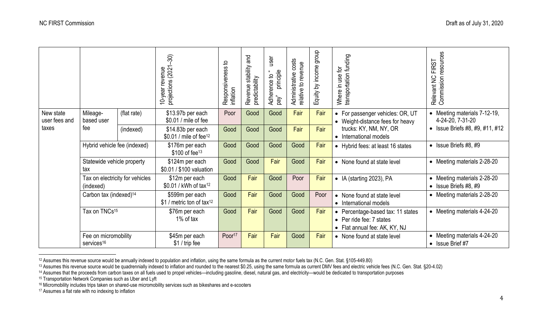|                                     |                                              |             | $\mathfrak{D}$<br>10-year revenue<br>projections (2021-<br>10-year | 요<br>Responsiveness<br>inflation | pue<br>stability<br>predictability<br>Revenue | user<br>principle<br>Adherence to<br>pay" | costs<br>relative to revenue<br>Administrative | dioub<br>by income<br>Equity I | transportation funding<br>ğ<br>Where in use                                                                              | Relevant NC FIRST<br>Commission resources<br><b>FIRST</b>    |
|-------------------------------------|----------------------------------------------|-------------|--------------------------------------------------------------------|----------------------------------|-----------------------------------------------|-------------------------------------------|------------------------------------------------|--------------------------------|--------------------------------------------------------------------------------------------------------------------------|--------------------------------------------------------------|
| New state<br>user fees and<br>taxes | Mileage-<br>based user                       | (flat rate) | \$13.97b per each<br>\$0.01 / mile of fee                          | Poor                             | Good                                          | Good                                      | Fair                                           | Fair                           | • For passenger vehicles: OR, UT<br>• Weight-distance fees for heavy<br>trucks: KY, NM, NY, OR<br>• International models | • Meeting materials 7-12-19,<br>4-24-20, 7-31-20             |
|                                     | fee                                          | (indexed)   | \$14.83b per each<br>\$0.01 / mile of fee <sup>12</sup>            | Good                             | Good                                          | Good                                      | Fair                                           | Fair                           |                                                                                                                          | • Issue Briefs $#8, #9, #11, #12$                            |
|                                     | Hybrid vehicle fee (indexed)                 |             | \$176m per each<br>$$100$ of fee <sup>13</sup>                     | Good                             | Good                                          | Good                                      | Good                                           | Fair                           | • Hybrid fees: at least 16 states                                                                                        | • Issue Briefs $#8, #9$                                      |
|                                     | Statewide vehicle property<br>tax            |             | \$124m per each<br>\$0.01 / \$100 valuation                        | Good                             | Good                                          | Fair                                      | Good                                           | Fair                           | • None found at state level                                                                                              | • Meeting materials 2-28-20                                  |
|                                     | Tax on electricity for vehicles<br>(indexed) |             | \$12m per each<br>\$0.01 / kWh of tax <sup>12</sup>                | Good                             | Fair                                          | Good                                      | Poor                                           | Fair                           | • IA (starting 2023), PA                                                                                                 | • Meeting materials 2-28-20<br>$\bullet$ Issue Briefs #8, #9 |
|                                     | Carbon tax (indexed) <sup>14</sup>           |             | \$599m per each<br>\$1 / metric ton of tax <sup>12</sup>           | Good                             | Fair                                          | Good                                      | Good                                           | Poor                           | • None found at state level<br>• International models                                                                    | • Meeting materials 2-28-20                                  |
|                                     | Tax on TNCs <sup>15</sup>                    |             | \$76m per each                                                     | Good                             | Fair                                          | Good                                      | Good                                           | Fair                           | • Percentage-based tax: 11 states                                                                                        | • Meeting materials 4-24-20                                  |

• Per ride fee: 7 states

Poor<sup>17</sup> | Fair | Fair | Good | Fair | None found at state level | Meeting materials 4-24-20

• Flat annual fee: AK, KY, NJ

<span id="page-3-0"></span>1% of tax

\$45m per each \$1 / trip fee

services<sup>16</sup>

Fee on micromobility

• Issue Brief #7

<sup>12</sup> Assumes this revenue source would be annually indexed to population and inflation, using the same formula as the current motor fuels tax (N.C. Gen. Stat. §105-449.80)

<sup>13</sup> Assumes this revenue source would be quadrennially indexed to inflation and rounded to the nearest \$0.25, using the same formula as current DMV fees and electric vehicle fees (N.C. Gen. Stat. §20-4.02)

<sup>14</sup> Assumes that the proceeds from carbon taxes on all fuels used to propel vehicles—including gasoline, diesel, natural gas, and electricity—would be dedicated to transportation purposes

<sup>&</sup>lt;sup>15</sup> Transportation Network Companies such as Uber and Lyft

<sup>16</sup> Micromobility includes trips taken on shared-use micromobility services such as bikeshares and e-scooters

<sup>&</sup>lt;sup>17</sup> Assumes a flat rate with no indexing to inflation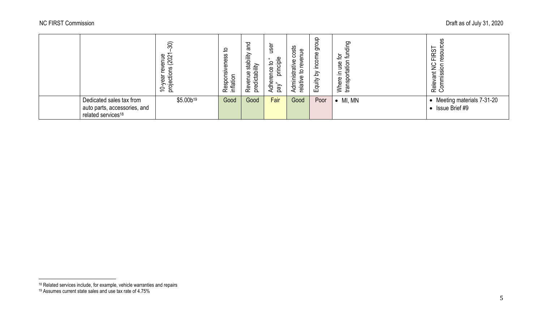|                                                                                            | $\widehat{30}$<br>enue<br>(202<br>ဇ္တ<br>ഉ<br>Ιĝθ<br>ंठे<br>S<br>ਠ | 요<br>eness<br>Responsive<br>inflation | ᅙ<br>σ<br>≝<br>Revenue stabil<br>predictability | use<br>principle<br>₽<br>පි<br>ā<br>Φ<br>등<br>g<br>⋖ | osts<br>Φ<br>œ<br>dministrative<br>Ф<br>Φ<br>≔<br>$\frac{a}{a}$<br>⊲ | dionb<br>income<br><u>ই</u><br>Equity | ding<br>흑<br>ځ<br>89<br>transportatior<br>Ξ<br>크.<br>Where | ഗ<br>cr.<br>≌<br>n<br>Ф<br>ட<br>O<br>z<br>∘<br>さ<br>ဟ<br>᠊ᢐ<br>Rele <sup>®</sup> |
|--------------------------------------------------------------------------------------------|--------------------------------------------------------------------|---------------------------------------|-------------------------------------------------|------------------------------------------------------|----------------------------------------------------------------------|---------------------------------------|------------------------------------------------------------|----------------------------------------------------------------------------------|
| Dedicated sales tax from<br>auto parts, accessories, and<br>related services <sup>18</sup> | \$5.00 <sub>b19</sub>                                              | Good                                  | Good                                            | Fair                                                 | Good                                                                 | Poor                                  | MI, MN                                                     | Meeting materials 7-31-20<br>Issue Brief #9                                      |

<sup>&</sup>lt;sup>18</sup> Related services include, for example, vehicle warranties and repairs

<sup>19</sup> Assumes current state sales and use tax rate of 4.75%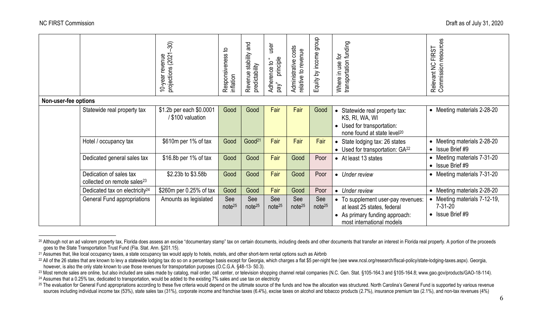|                      |                                                                    | $\mathfrak{D}$                              |                                | and                                         | user                                      | costs                                                 | dioub                     |                                                                                                                                                        | <b>FIRST</b>                                                            |
|----------------------|--------------------------------------------------------------------|---------------------------------------------|--------------------------------|---------------------------------------------|-------------------------------------------|-------------------------------------------------------|---------------------------|--------------------------------------------------------------------------------------------------------------------------------------------------------|-------------------------------------------------------------------------|
|                      |                                                                    | projections (2021<br>10-year revenue        | Responsiveness to<br>inflation | stability<br>Revenue stat<br>predictability | principle<br>×.<br>٩<br>Adherence<br>pay" | revenue<br>Administrative<br>$\mathbf{Q}$<br>relative | Equity by income          | transportation funding<br>đ<br>use<br>Where in                                                                                                         | Relevant NC FIRST<br>Commission resources<br>$\gtrapprox$               |
|                      |                                                                    |                                             |                                |                                             |                                           |                                                       |                           |                                                                                                                                                        |                                                                         |
| Non-user-fee options |                                                                    |                                             |                                |                                             |                                           |                                                       |                           |                                                                                                                                                        |                                                                         |
|                      | Statewide real property tax                                        | \$1.2b per each \$0.0001<br>\$100 valuation | Good                           | Good                                        | Fair                                      | Fair                                                  | Good                      | Statewide real property tax:<br>$\bullet$<br>KS, RI, WA, WI<br>Used for transportation:<br>$\bullet$<br>none found at state level <sup>20</sup>        | • Meeting materials 2-28-20                                             |
|                      | Hotel / occupancy tax                                              | \$610m per 1% of tax                        | Good                           | Good <sup>21</sup>                          | Fair                                      | Fair                                                  | Fair                      | State lodging tax: 26 states<br>$\bullet$<br>• Used for transportation: GA <sup>22</sup>                                                               | • Meeting materials 2-28-20<br>$\bullet$ Issue Brief #9                 |
|                      | Dedicated general sales tax                                        | \$16.8b per 1% of tax                       | Good                           | Good                                        | Fair                                      | Good                                                  | Poor                      | • At least 13 states                                                                                                                                   | Meeting materials 7-31-20<br>$\bullet$ Issue Brief #9                   |
|                      | Dedication of sales tax<br>collected on remote sales <sup>23</sup> | \$2.23b to \$3.58b                          | Good                           | Good                                        | Fair                                      | Good                                                  | Poor                      | Under review<br>$\bullet$                                                                                                                              | • Meeting materials 7-31-20                                             |
|                      | Dedicated tax on electricity <sup>24</sup>                         | \$260m per 0.25% of tax                     | Good                           | Good                                        | Fair                                      | Good                                                  | Poor                      | Under review<br>$\bullet$                                                                                                                              | • Meeting materials 2-28-20                                             |
|                      | General Fund appropriations                                        | Amounts as legislated                       | See<br>note <sup>25</sup>      | See<br>note <sup>25</sup>                   | See<br>note <sup>25</sup>                 | See<br>note <sup>25</sup>                             | See<br>note <sup>25</sup> | To supplement user-pay revenues:<br>$\bullet$<br>at least 25 states, federal<br>As primary funding approach:<br>$\bullet$<br>most international models | Meeting materials 7-12-19,<br>$7 - 31 - 20$<br>$\bullet$ Issue Brief #9 |

<span id="page-5-0"></span><sup>&</sup>lt;sup>20</sup> Although not an ad valorem property tax, Florida does assess an excise "documentary stamp" tax on certain documents, including deeds and other documents that transfer an interest in Florida real property. A portion of goes to the State Transportation Trust Fund (Fla. Stat. Ann. §201.15).

<sup>&</sup>lt;sup>21</sup> Assumes that, like local occupancy taxes, a state occupancy tax would apply to hotels, motels, and other short-term rental options such as Airbnb

<sup>&</sup>lt;sup>22</sup> All of the 26 states that are known to levy a statewide lodging tax do so on a percentage basis except for Georgia, which charges a flat \$5 per-night fee (see www.ncsl.org/research/fiscal-policy/state-lodging-taxes.as however, is also the only state known to use those revenues for transportation purposes (O.C.G.A. §48-13- 50.3).

<sup>&</sup>lt;sup>23</sup> Most remote sales are online, but also included are sales made by catalog, mail order, call center, or television shopping channel retail companies (N.C. Gen. Stat. §105-164.3 and §105-164.8; www.gao.gov/products/GAO-<sup>24</sup> Assumes that a 0.25% tax, dedicated to transportation, would be added to the existing 7% sales and use tax on electricity

<sup>25</sup> The evaluation for General Fund appropriations according to these five criteria would depend on the ultimate source of the funds and how the allocation was structured. North Carolina's General Fund is supported by vario sources including individual income tax (53%), state sales tax (31%), corporate income and franchise taxes (6.4%), excise taxes on alcohol and tobacco products (2.7%), insurance premium tax (2.1%), and non-tax revenues (4%